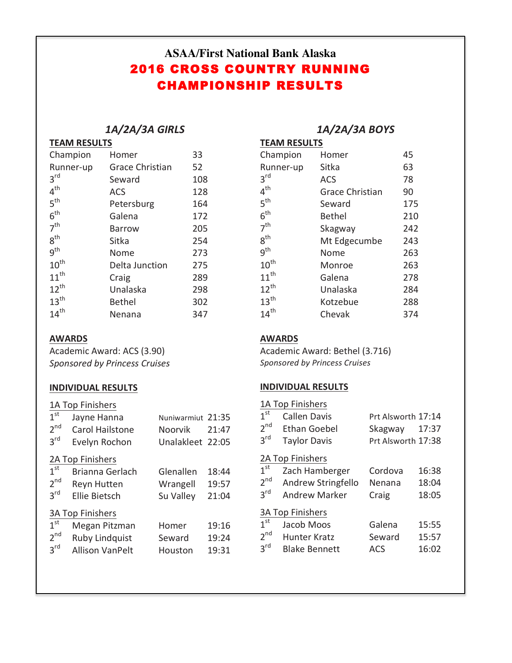# **ASAA/First National Bank Alaska** 2016 CROSS COUNTRY RUNNING CHAMPIONSHIP RESULTS

#### *1A/2A/3A GIRLS* **TEAM RESULTS**

| I EAIVI RESULIS  |                        |     |  |
|------------------|------------------------|-----|--|
| Champion         | Homer                  | 33  |  |
| Runner-up        | <b>Grace Christian</b> | 52  |  |
| $3^{\text{rd}}$  | Seward                 | 108 |  |
| $4^{\text{th}}$  | <b>ACS</b>             | 128 |  |
| 5 <sup>th</sup>  | Petersburg             | 164 |  |
| $6^{\text{th}}$  | Galena                 | 172 |  |
| 7 <sup>th</sup>  | Barrow                 | 205 |  |
| 8 <sup>th</sup>  | Sitka                  | 254 |  |
| 9 <sup>th</sup>  | Nome                   | 273 |  |
| $10^{\text{th}}$ | Delta Junction         | 275 |  |
| $11^{th}$        | Craig                  | 289 |  |
| $12^{th}$        | Unalaska               | 298 |  |
| $13^{\text{th}}$ | <b>Bethel</b>          | 302 |  |
| $14^{th}$        | Nenana                 | 347 |  |

### **AWARDS**

Academic Award: ACS (3.90) *Sponsored by Princess Cruises*

## **INDIVIDUAL RESULTS**

|                 | 1A Top Finishers        |                   |       |
|-----------------|-------------------------|-------------------|-------|
| 1 <sup>st</sup> | Jayne Hanna             | Nuniwarmiut 21:35 |       |
| $2^{\text{nd}}$ | Carol Hailstone         | Noorvik           | 21:47 |
| $3^{\text{rd}}$ | Evelyn Rochon           | Unalakleet 22:05  |       |
|                 | 2A Top Finishers        |                   |       |
| 1 <sup>st</sup> | Brianna Gerlach         | Glenallen         | 18:44 |
| 2 <sup>nd</sup> | Reyn Hutten             | Wrangell          | 19:57 |
| $3^{\text{rd}}$ | <b>Fllie Bietsch</b>    | Su Valley         | 21:04 |
|                 | <b>3A Top Finishers</b> |                   |       |
| 1 <sup>st</sup> | Megan Pitzman           | Homer             | 19:16 |
| $2^{\text{nd}}$ | <b>Ruby Lindquist</b>   | Seward            | 19:24 |
| $3^{\text{rd}}$ | Allison VanPelt         | Houston           | 19:31 |

## *1A/2A/3A BOYS*

| <b>TEAM RESULTS</b> |                        |     |  |
|---------------------|------------------------|-----|--|
| Champion            | Homer                  | 45  |  |
| Runner-up           | Sitka                  | 63  |  |
| 3 <sup>rd</sup>     | ACS                    | 78  |  |
| 4 <sup>th</sup>     | <b>Grace Christian</b> | 90  |  |
| 5 <sup>th</sup>     | Seward                 | 175 |  |
| 6 <sup>th</sup>     | <b>Bethel</b>          | 210 |  |
| 7 <sup>th</sup>     | Skagway                | 242 |  |
| $8^{\text{th}}$     | Mt Edgecumbe           | 243 |  |
| g <sup>th</sup>     | Nome                   | 263 |  |
| 10 <sup>th</sup>    | Monroe                 | 263 |  |
| $11^{th}$           | Galena                 | 278 |  |
| $12^{th}$           | Unalaska               | 284 |  |
| 13 <sup>th</sup>    | Kotzebue               | 288 |  |
| $14^{th}$           | Chevak                 | 374 |  |

## **AWARDS**

Academic Award: Bethel (3.716) *Sponsored by Princess Cruises*

## **INDIVIDUAL RESULTS**

| 1 <sup>st</sup><br>2 <sup>nd</sup><br>$3^{\text{rd}}$ | 1A Top Finishers<br>Callen Davis<br><b>Fthan Goebel</b><br><b>Taylor Davis</b> | Prt Alsworth 17:14<br>Skagway 17:37<br>Prt Alsworth 17:38 |       |
|-------------------------------------------------------|--------------------------------------------------------------------------------|-----------------------------------------------------------|-------|
|                                                       | 2A Top Finishers                                                               |                                                           |       |
| 1 <sup>st</sup>                                       | Zach Hamberger                                                                 | Cordova                                                   | 16:38 |
| 2 <sub>nd</sub>                                       | Andrew Stringfello                                                             | Nenana                                                    | 18:04 |
| $3^{\text{rd}}$                                       | Andrew Marker                                                                  | Craig                                                     | 18:05 |
|                                                       | <b>3A Top Finishers</b>                                                        |                                                           |       |
| 1 <sup>st</sup>                                       | Jacob Moos                                                                     | Galena                                                    | 15:55 |
| 2 <sup>nd</sup>                                       | Hunter Kratz                                                                   | Seward                                                    | 15:57 |
| $3^{\text{rd}}$                                       | <b>Blake Bennett</b>                                                           | <b>ACS</b>                                                | 16:02 |
|                                                       |                                                                                |                                                           |       |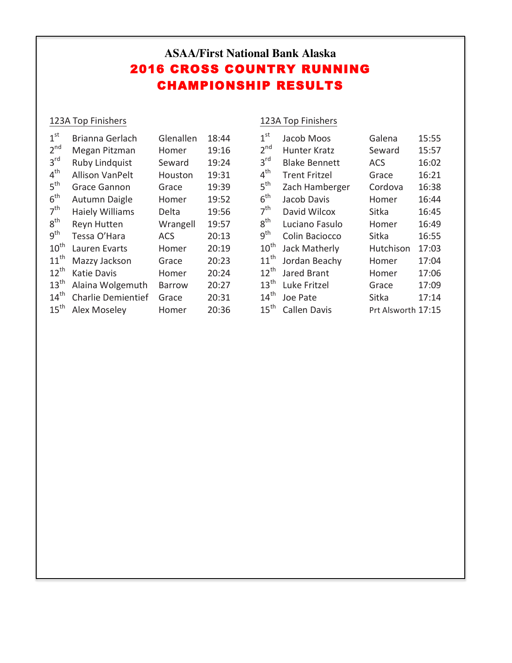# **ASAA/First National Bank Alaska** 2016 CROSS COUNTRY RUNNING CHAMPIONSHIP RESULTS

## 123A Top Finishers

## 123A Top Finishers

| Brianna Gerlach           | Glenallen  | 18:44 |
|---------------------------|------------|-------|
| Megan Pitzman             | Homer      | 19:16 |
| <b>Ruby Lindquist</b>     | Seward     | 19:24 |
| Allison VanPelt           | Houston    | 19:31 |
| <b>Grace Gannon</b>       | Grace      | 19:39 |
| Autumn Daigle             | Homer      | 19:52 |
| <b>Haiely Williams</b>    | Delta      | 19:56 |
| Reyn Hutten               | Wrangell   | 19:57 |
| Tessa O'Hara              | <b>ACS</b> | 20:13 |
| Lauren Evarts             | Homer      | 20:19 |
| Mazzy Jackson             | Grace      | 20:23 |
| <b>Katie Davis</b>        | Homer      | 20:24 |
| Alaina Wolgemuth          | Barrow     | 20:27 |
| <b>Charlie Demientief</b> | Grace      | 20:31 |
| <b>Alex Moseley</b>       | Homer      | 20:36 |
|                           |            |       |

| 1 <sup>st</sup>   | Jacob Moos           | Galena             | 15:55 |
|-------------------|----------------------|--------------------|-------|
| $2^{nd}$          | Hunter Kratz         | Seward             | 15:57 |
| $3^{\text{rd}}$   | <b>Blake Bennett</b> | <b>ACS</b>         | 16:02 |
| $4^{\sf th}$      | <b>Trent Fritzel</b> | Grace              | 16:21 |
| $5^{\text{th}}$   | Zach Hamberger       | Cordova            | 16:38 |
| $6^{\sf th}$      | Jacob Davis          | Homer              | 16:44 |
| 7 <sup>th</sup>   | David Wilcox         | Sitka              | 16:45 |
| $8^{\sf th}$      | Luciano Fasulo       | Homer              | 16:49 |
| $9^{\mathsf{th}}$ | Colin Baciocco       | Sitka              | 16:55 |
| $10^{\sf th}$     | Jack Matherly        | Hutchison          | 17:03 |
| $11^{\text{th}}$  | Jordan Beachy        | Homer              | 17:04 |
| $12^{\text{th}}$  | Jared Brant          | Homer              | 17:06 |
| $13^{\text{th}}$  | Luke Fritzel         | Grace              | 17:09 |
| $14^{\text{th}}$  | Joe Pate             | Sitka              | 17:14 |
| $15^{\text{th}}$  | <b>Callen Davis</b>  | Prt Alsworth 17:15 |       |